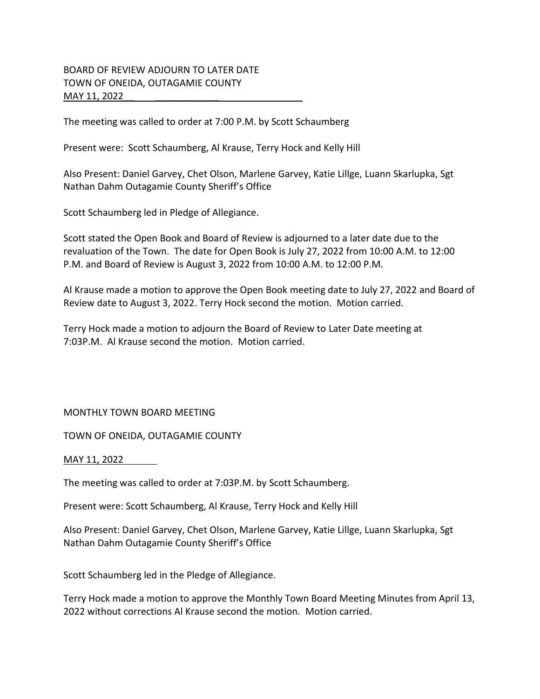## BOARD OF REVIEW ADJOURN TO LATER DATE TOWN OF ONEIDA, OUTAGAMIE COUNTY MAY 11, 2022

The meeting was called to order at 7:00 P.M. by Scott Schaumberg

Present were: Scott Schaumberg, Al Krause, Terry Hock and Kelly Hill

Also Present: Daniel Garvey, Chet Olson, Marlene Garvey, Katie Lillge, Luann Skarlupka, Sgt Nathan Dahm Outagamie County Sheriff's Office

Scott Schaumberg led in Pledge of Allegiance.

Scott stated the Open Book and Board of Review is adjourned to a later date due to the revaluation of the Town. The date for Open Book is July 27, 2022 from 10:00 A.M. to 12:00 P.M. and Board of Review is August 3, 2022 from 10:00 A.M. to 12:00 P.M.

Al Krause made a motion to approve the Open Book meeting date to July 27, 2022 and Board of Review date to August 3, 2022. Terry Hock second the motion. Motion carried.

Terry Hock made a motion to adjourn the Board of Review to Later Date meeting at 7:03P.M. Al Krause second the motion. Motion carried.

## MONTHLY TOWN BOARD MEETING

TOWN OF ONEIDA, OUTAGAMIE COUNTY

## MAY 11, 2022

The meeting was called to order at 7:03P.M. by Scott Schaumberg.

Present were: Scott Schaumberg, Al Krause, Terry Hock and Kelly Hill

Also Present: Daniel Garvey, Chet Olson, Marlene Garvey, Katie Lillge, Luann Skarlupka, Sgt Nathan Dahm Outagamie County Sheriff's Office

Scott Schaumberg led in the Pledge of Allegiance.

Terry Hock made a motion to approve the Monthly Town Board Meeting Minutes from April 13, 2022 without corrections Al Krause second the motion. Motion carried.